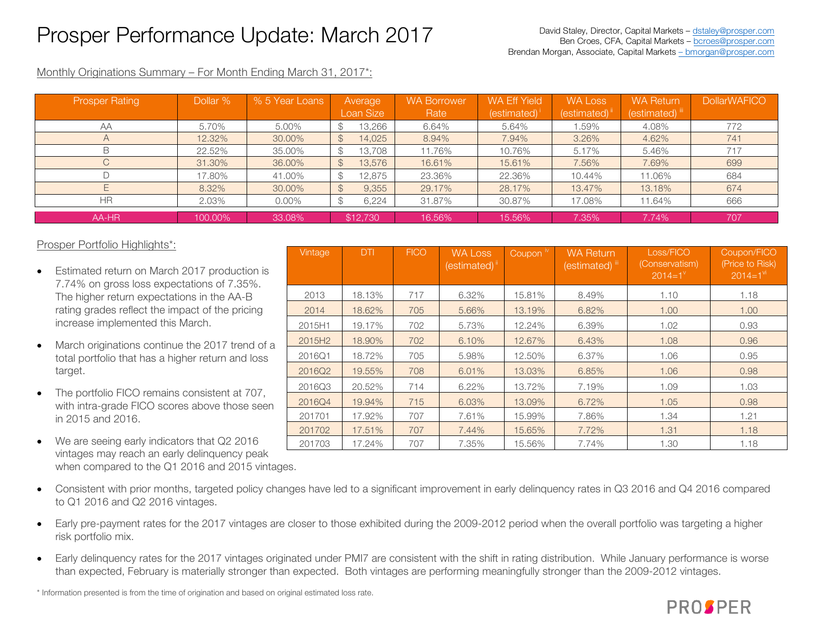## Prosper Performance Update: March 2017

Monthly Originations Summary – For Month Ending March 31, 2017\*:

| <b>Prosper Rating</b> | Dollar % | % 5 Year Loans | Average<br>Loan Size    | <b>WA Borrower</b><br>Rate | <b>WA Eff Yield</b><br>$(estimated)^{T}$ | <b>WA Loss</b><br>(estimated) <sup>i</sup> | <b>WA Return</b><br>(estimated) iii | <b>DollarWAFICO</b> |
|-----------------------|----------|----------------|-------------------------|----------------------------|------------------------------------------|--------------------------------------------|-------------------------------------|---------------------|
| AA                    | 5.70%    | 5.00%          | 13,266                  | 6.64%                      | 5.64%                                    | .59%                                       | 4.08%                               | 772                 |
| $\forall$             | 12.32%   | 30.00%         | 14,025<br>$\mathcal{L}$ | 8.94%                      | 7.94%                                    | 3.26%                                      | 4.62%                               | 741                 |
|                       | 22.52%   | 35.00%         | 13,708                  | 11.76%                     | 10.76%                                   | 5.17%                                      | 5.46%                               | 717                 |
|                       | 31.30%   | 36.00%         | 13,576<br>$\mathcal{S}$ | 16.61%                     | 15.61%                                   | 7.56%                                      | 7.69%                               | 699                 |
|                       | 17.80%   | 41.00%         | 12,875<br>Œ             | 23.36%                     | 22.36%                                   | 10.44%                                     | 11.06%                              | 684                 |
|                       | 8.32%    | 30.00%         | 9,355<br>$\mathcal{L}$  | 29.17%                     | 28.17%                                   | 13.47%                                     | 13.18%                              | 674                 |
| НR                    | 2.03%    | $0.00\%$       | 6,224                   | 31.87%                     | 30.87%                                   | 17.08%                                     | 11.64%                              | 666                 |
| AA-HR                 | 100.00%  | 33.08%         | \$12,730                | 16.56%                     | 15.56%                                   | 7.35%                                      | 7.74%                               | 707                 |

| Prosper Portfolio Highlights*: |
|--------------------------------|
|--------------------------------|

- Estimated return on March 2017 production is 7.74% on gross loss expectations of 7.35%. The higher return expectations in the AA-B rating grades reflect the impact of the pricing increase implemented this March.
- March originations continue the 2017 trend of a total portfolio that has a higher return and loss target.
- The portfolio FICO remains consistent at 707, with intra-grade FICO scores above those seen in 2015 and 2016.
- We are seeing early indicators that Q2 2016 vintages may reach an early delinquency peak when compared to the Q1 2016 and 2015 vintages.
- Vintage DTI FICO WA Loss  $(estimated)^{i}$ Coupon<sup>iv</sup> WA Return  $(estimated)$ <sup>ii</sup> Loss/FICO (Conservatism)  $2014=1$ <sup>v</sup> Coupon/FICO (Price to Risk)  $2014=1<sup>vi</sup>$ 2013 18.13% 717 6.32% 15.81% 8.49% 1.10 1.18 2014 18.62% 705 5.66% 13.19% 6.82% 1.00 1.00 2015H1 19.17% 702 5.73% 12.24% 6.39% 1.02 0.93 2015H2 18.90% 702 6.10% 12.67% 6.43% 1.08 0.96 2016Q1 18.72% 705 5.98% 12.50% 6.37% 1.06 0.95 2016Q2 | 19.55% | 708 | 6.01% | 13.03% | 6.85% | 1.06 | 0.98 2016Q3 20.52% 714 6.22% 13.72% 7.19% 1.09 1.03 2016Q4 19.94% 715 6.03% 13.09% 6.72% 1.05 0.98 201701 17.92% 707 7.61% 15.99% 7.86% 1.34 1.21 201702 17.51% 707 7.44% 15.65% 7.72% 1.31 1.18 201703 17.24% 707 7.35% 15.56% 7.74% 1.30 1.18
- Consistent with prior months, targeted policy changes have led to a significant improvement in early delinquency rates in Q3 2016 and Q4 2016 compared to Q1 2016 and Q2 2016 vintages.
- Early pre-payment rates for the 2017 vintages are closer to those exhibited during the 2009-2012 period when the overall portfolio was targeting a higher risk portfolio mix.
- Early delinquency rates for the 2017 vintages originated under PMI7 are consistent with the shift in rating distribution. While January performance is worse than expected, February is materially stronger than expected. Both vintages are performing meaningfully stronger than the 2009-2012 vintages.

\* Information presented is from the time of origination and based on original estimated loss rate.

## **PROSPER**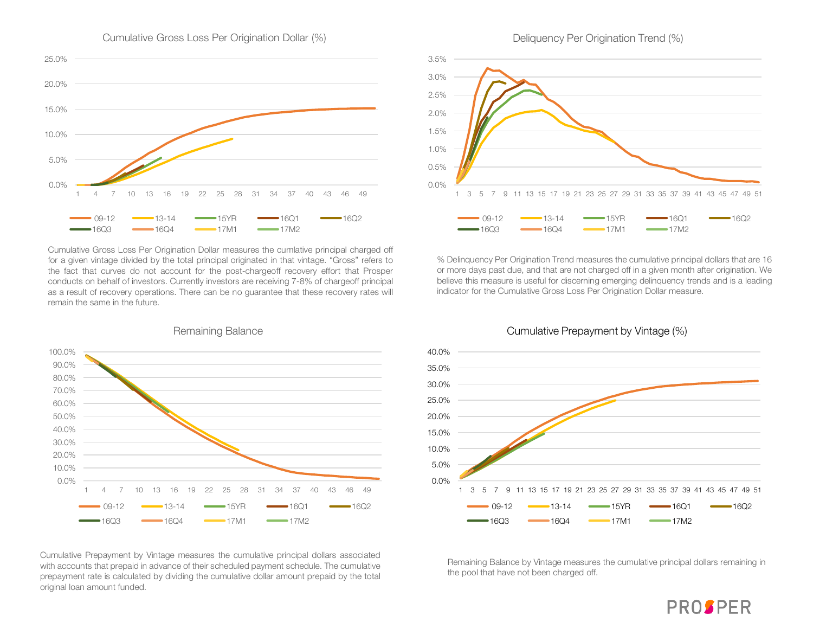

Cumulative Gross Loss Per Origination Dollar (%)

Cumulative Gross Loss Per Origination Dollar measures the cumlative principal charged off for a given vintage divided by the total principal originated in that vintage. "Gross" refers to the fact that curves do not account for the post-chargeoff recovery effort that Prosper conducts on behalf of investors. Currently investors are receiving 7-8% of chargeoff principal as a result of recovery operations. There can be no guarantee that these recovery rates will remain the same in the future.



Remaining Balance

Cumulative Prepayment by Vintage measures the cumulative principal dollars associated with accounts that prepaid in advance of their scheduled payment schedule. The cumulative prepayment rate is calculated by dividing the cumulative dollar amount prepaid by the total original loan amount funded.



% Delinquency Per Origination Trend measures the cumulative principal dollars that are 16 or more days past due, and that are not charged off in a given month after origination. We believe this measure is useful for discerning emerging delinquency trends and is a leading indicator for the Cumulative Gross Loss Per Origination Dollar measure.



Cumulative Prepayment by Vintage (%)

Remaining Balance by Vintage measures the cumulative principal dollars remaining in the pool that have not been charged off.

## Deliquency Per Origination Trend (%)